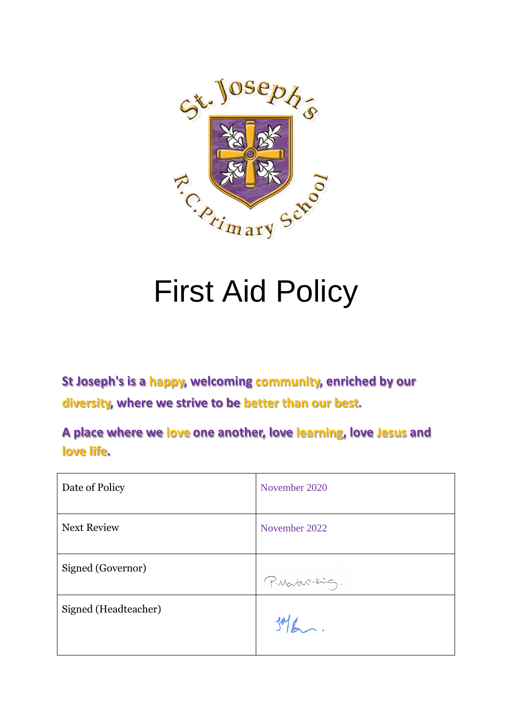

# First Aid Policy

**St Joseph's is a happy, welcoming community, enriched by our diversity, where we strive to be better than our best.**

**A place where we love one another, love learning, love Jesus and love life.**

| Date of Policy       | November 2020   |
|----------------------|-----------------|
| <b>Next Review</b>   | November 2022   |
| Signed (Governor)    | P. Martin-King. |
| Signed (Headteacher) | $1046 - 1$      |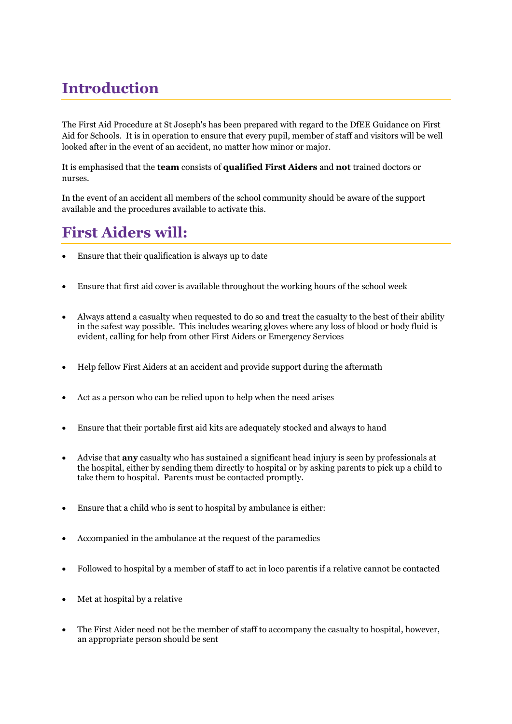# **Introduction**

The First Aid Procedure at St Joseph's has been prepared with regard to the DfEE Guidance on First Aid for Schools. It is in operation to ensure that every pupil, member of staff and visitors will be well looked after in the event of an accident, no matter how minor or major.

It is emphasised that the **team** consists of **qualified First Aiders** and **not** trained doctors or nurses.

In the event of an accident all members of the school community should be aware of the support available and the procedures available to activate this.

#### **First Aiders will:**

- Ensure that their qualification is always up to date
- Ensure that first aid cover is available throughout the working hours of the school week
- Always attend a casualty when requested to do so and treat the casualty to the best of their ability in the safest way possible. This includes wearing gloves where any loss of blood or body fluid is evident, calling for help from other First Aiders or Emergency Services
- Help fellow First Aiders at an accident and provide support during the aftermath
- Act as a person who can be relied upon to help when the need arises
- Ensure that their portable first aid kits are adequately stocked and always to hand
- Advise that **any** casualty who has sustained a significant head injury is seen by professionals at the hospital, either by sending them directly to hospital or by asking parents to pick up a child to take them to hospital. Parents must be contacted promptly.
- Ensure that a child who is sent to hospital by ambulance is either:
- Accompanied in the ambulance at the request of the paramedics
- Followed to hospital by a member of staff to act in loco parentis if a relative cannot be contacted
- Met at hospital by a relative
- The First Aider need not be the member of staff to accompany the casualty to hospital, however, an appropriate person should be sent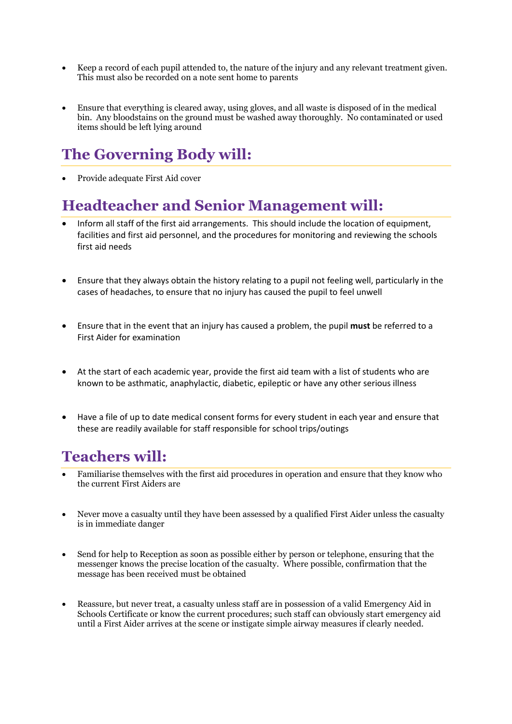- Keep a record of each pupil attended to, the nature of the injury and any relevant treatment given. This must also be recorded on a note sent home to parents
- Ensure that everything is cleared away, using gloves, and all waste is disposed of in the medical bin. Any bloodstains on the ground must be washed away thoroughly. No contaminated or used items should be left lying around

## **The Governing Body will:**

• Provide adequate First Aid cover

#### **Headteacher and Senior Management will:**

- Inform all staff of the first aid arrangements. This should include the location of equipment, facilities and first aid personnel, and the procedures for monitoring and reviewing the schools first aid needs
- Ensure that they always obtain the history relating to a pupil not feeling well, particularly in the cases of headaches, to ensure that no injury has caused the pupil to feel unwell
- Ensure that in the event that an injury has caused a problem, the pupil **must** be referred to a First Aider for examination
- At the start of each academic year, provide the first aid team with a list of students who are known to be asthmatic, anaphylactic, diabetic, epileptic or have any other serious illness
- Have a file of up to date medical consent forms for every student in each year and ensure that these are readily available for staff responsible for school trips/outings

### **Teachers will:**

- Familiarise themselves with the first aid procedures in operation and ensure that they know who the current First Aiders are
- Never move a casualty until they have been assessed by a qualified First Aider unless the casualty is in immediate danger
- Send for help to Reception as soon as possible either by person or telephone, ensuring that the messenger knows the precise location of the casualty. Where possible, confirmation that the message has been received must be obtained
- Reassure, but never treat, a casualty unless staff are in possession of a valid Emergency Aid in Schools Certificate or know the current procedures; such staff can obviously start emergency aid until a First Aider arrives at the scene or instigate simple airway measures if clearly needed.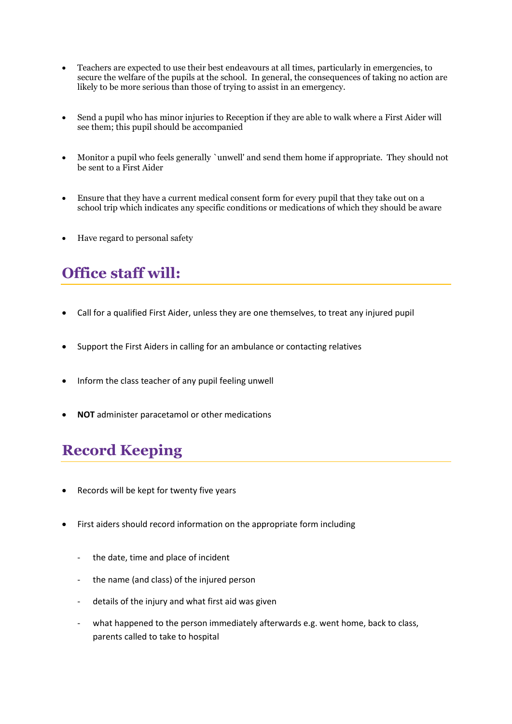- Teachers are expected to use their best endeavours at all times, particularly in emergencies, to secure the welfare of the pupils at the school. In general, the consequences of taking no action are likely to be more serious than those of trying to assist in an emergency.
- Send a pupil who has minor injuries to Reception if they are able to walk where a First Aider will see them; this pupil should be accompanied
- Monitor a pupil who feels generally `unwell' and send them home if appropriate. They should not be sent to a First Aider
- Ensure that they have a current medical consent form for every pupil that they take out on a school trip which indicates any specific conditions or medications of which they should be aware
- Have regard to personal safety

#### **Office staff will:**

- Call for a qualified First Aider, unless they are one themselves, to treat any injured pupil
- Support the First Aiders in calling for an ambulance or contacting relatives
- Inform the class teacher of any pupil feeling unwell
- **NOT** administer paracetamol or other medications

#### **Record Keeping**

- Records will be kept for twenty five years
- First aiders should record information on the appropriate form including
	- the date, time and place of incident
	- the name (and class) of the injured person
	- details of the injury and what first aid was given
	- what happened to the person immediately afterwards e.g. went home, back to class, parents called to take to hospital